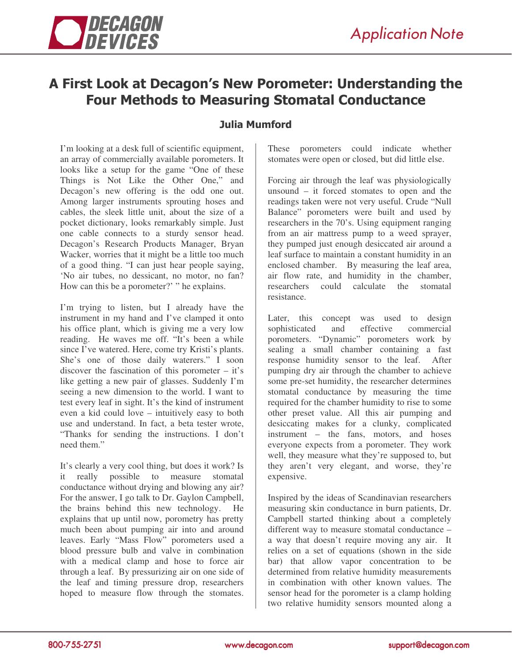## A First Look at Decagon's New Porometer: Understanding the **Four Methods to Measuring Stomatal Conductance**

## **Julia Mumford**

I'm looking at a desk full of scientific equipment, an array of commercially available porometers. It looks like a setup for the game "One of these Things is Not Like the Other One," and Decagon's new offering is the odd one out. Among larger instruments sprouting hoses and cables, the sleek little unit, about the size of a pocket dictionary, looks remarkably simple. Just one cable connects to a sturdy sensor head. Decagon's Research Products Manager, Bryan Wacker, worries that it might be a little too much of a good thing. "I can just hear people saying, 'No air tubes, no dessicant, no motor, no fan? How can this be a porometer?' " he explains.

I'm trying to listen, but I already have the instrument in my hand and I've clamped it onto his office plant, which is giving me a very low reading. He waves me off. "It's been a while since I've watered. Here, come try Kristi's plants. She's one of those daily waterers." I soon discover the fascination of this porometer – it's like getting a new pair of glasses. Suddenly I'm seeing a new dimension to the world. I want to test every leaf in sight. It's the kind of instrument even a kid could love – intuitively easy to both use and understand. In fact, a beta tester wrote, "Thanks for sending the instructions. I don't need them"

It's clearly a very cool thing, but does it work? Is it really possible to measure stomatal conductance without drying and blowing any air? For the answer, I go talk to Dr. Gaylon Campbell, the brains behind this new technology. He explains that up until now, porometry has pretty much been about pumping air into and around leaves. Early "Mass Flow" porometers used a blood pressure bulb and valve in combination with a medical clamp and hose to force air through a leaf. By pressurizing air on one side of the leaf and timing pressure drop, researchers hoped to measure flow through the stomates. These porometers could indicate whether stomates were open or closed, but did little else.

Forcing air through the leaf was physiologically unsound – it forced stomates to open and the readings taken were not very useful. Crude "Null Balance" porometers were built and used by researchers in the 70's. Using equipment ranging from an air mattress pump to a weed sprayer, they pumped just enough desiccated air around a leaf surface to maintain a constant humidity in an enclosed chamber. By measuring the leaf area, air flow rate, and humidity in the chamber, researchers could calculate the stomatal resistance.

Later, this concept was used to design sophisticated and effective commercial porometers. "Dynamic" porometers work by sealing a small chamber containing a fast response humidity sensor to the leaf. After pumping dry air through the chamber to achieve some pre-set humidity, the researcher determines stomatal conductance by measuring the time required for the chamber humidity to rise to some other preset value. All this air pumping and desiccating makes for a clunky, complicated instrument – the fans, motors, and hoses everyone expects from a porometer. They work well, they measure what they're supposed to, but they aren't very elegant, and worse, they're expensive.

Inspired by the ideas of Scandinavian researchers measuring skin conductance in burn patients, Dr. Campbell started thinking about a completely different way to measure stomatal conductance – a way that doesn't require moving any air. It relies on a set of equations (shown in the side bar) that allow vapor concentration to be determined from relative humidity measurements in combination with other known values. The sensor head for the porometer is a clamp holding two relative humidity sensors mounted along a